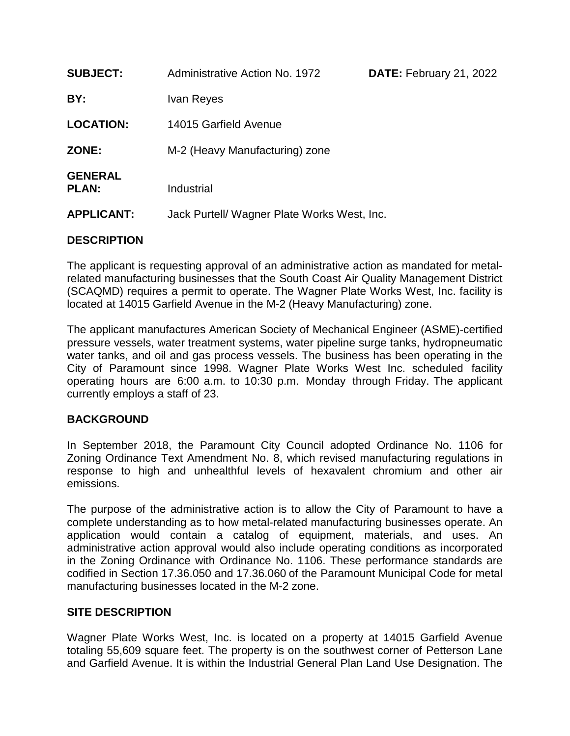| <b>SUBJECT:</b>                | <b>Administrative Action No. 1972</b><br>DATE: February 21, 2022 |  |  |  |
|--------------------------------|------------------------------------------------------------------|--|--|--|
| BY:                            | Ivan Reyes                                                       |  |  |  |
| <b>LOCATION:</b>               | 14015 Garfield Avenue                                            |  |  |  |
| ZONE:                          | M-2 (Heavy Manufacturing) zone                                   |  |  |  |
| <b>GENERAL</b><br><b>PLAN:</b> | Industrial                                                       |  |  |  |
| <b>APPLICANT:</b>              | Jack Purtell/ Wagner Plate Works West, Inc.                      |  |  |  |

## **DESCRIPTION**

The applicant is requesting approval of an administrative action as mandated for metalrelated manufacturing businesses that the South Coast Air Quality Management District (SCAQMD) requires a permit to operate. The Wagner Plate Works West, Inc. facility is located at 14015 Garfield Avenue in the M-2 (Heavy Manufacturing) zone.

The applicant manufactures American Society of Mechanical Engineer (ASME)-certified pressure vessels, water treatment systems, water pipeline surge tanks, hydropneumatic water tanks, and oil and gas process vessels. The business has been operating in the City of Paramount since 1998. Wagner Plate Works West Inc. scheduled facility operating hours are 6:00 a.m. to 10:30 p.m. Monday through Friday. The applicant currently employs a staff of 23.

# **BACKGROUND**

In September 2018, the Paramount City Council adopted Ordinance No. 1106 for Zoning Ordinance Text Amendment No. 8, which revised manufacturing regulations in response to high and unhealthful levels of hexavalent chromium and other air emissions.

The purpose of the administrative action is to allow the City of Paramount to have a complete understanding as to how metal-related manufacturing businesses operate. An application would contain a catalog of equipment, materials, and uses. An administrative action approval would also include operating conditions as incorporated in the Zoning Ordinance with Ordinance No. 1106. These performance standards are codified in Section 17.36.050 and 17.36.060 of the Paramount Municipal Code for metal manufacturing businesses located in the M-2 zone.

# **SITE DESCRIPTION**

Wagner Plate Works West, Inc. is located on a property at 14015 Garfield Avenue totaling 55,609 square feet. The property is on the southwest corner of Petterson Lane and Garfield Avenue. It is within the Industrial General Plan Land Use Designation. The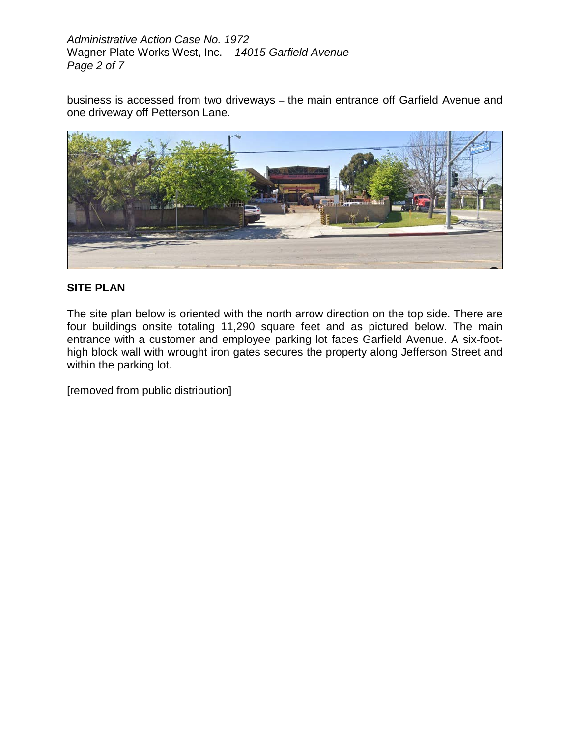business is accessed from two driveways – the main entrance off Garfield Avenue and one driveway off Petterson Lane.



## **SITE PLAN**

The site plan below is oriented with the north arrow direction on the top side. There are four buildings onsite totaling 11,290 square feet and as pictured below. The main entrance with a customer and employee parking lot faces Garfield Avenue. A six-foothigh block wall with wrought iron gates secures the property along Jefferson Street and within the parking lot.

[removed from public distribution]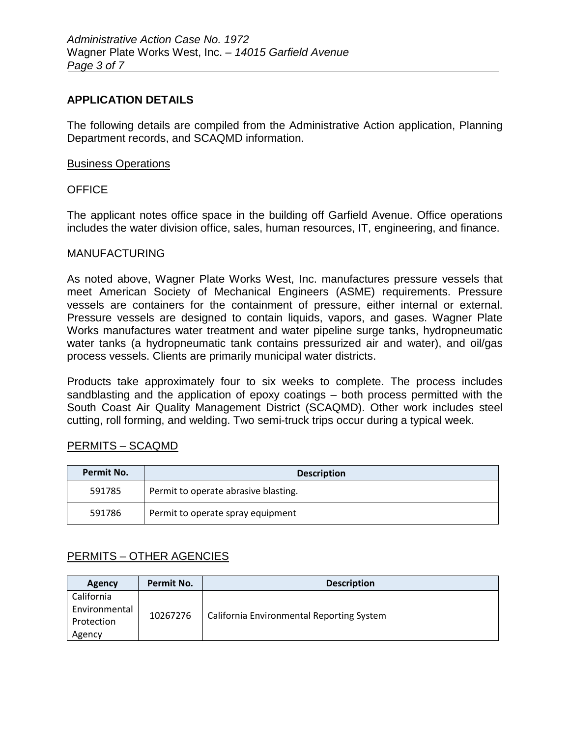### **APPLICATION DETAILS**

The following details are compiled from the Administrative Action application, Planning Department records, and SCAQMD information.

### Business Operations

### **OFFICE**

The applicant notes office space in the building off Garfield Avenue. Office operations includes the water division office, sales, human resources, IT, engineering, and finance.

#### MANUFACTURING

As noted above, Wagner Plate Works West, Inc. manufactures pressure vessels that meet American Society of Mechanical Engineers (ASME) requirements. Pressure vessels are containers for the containment of pressure, either internal or external. Pressure vessels are designed to contain liquids, vapors, and gases. Wagner Plate Works manufactures water treatment and water pipeline surge tanks, hydropneumatic water tanks (a hydropneumatic tank contains pressurized air and water), and oil/gas process vessels. Clients are primarily municipal water districts.

Products take approximately four to six weeks to complete. The process includes sandblasting and the application of epoxy coatings – both process permitted with the South Coast Air Quality Management District (SCAQMD). Other work includes steel cutting, roll forming, and welding. Two semi-truck trips occur during a typical week.

#### PERMITS – SCAQMD

| Permit No. | <b>Description</b>                   |  |  |
|------------|--------------------------------------|--|--|
| 591785     | Permit to operate abrasive blasting. |  |  |
| 591786     | Permit to operate spray equipment    |  |  |

### PERMITS – OTHER AGENCIES

| Agency                                              | Permit No. | <b>Description</b>                        |
|-----------------------------------------------------|------------|-------------------------------------------|
| California<br>Environmental<br>Protection<br>Agency | 10267276   | California Environmental Reporting System |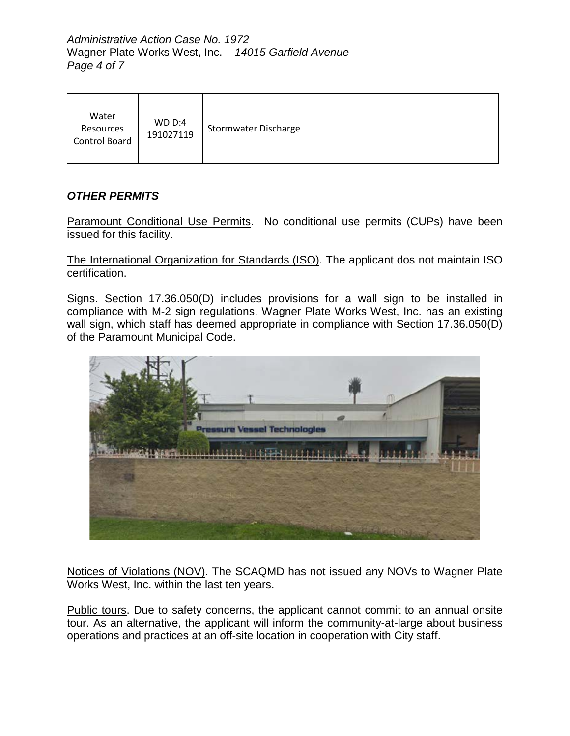| Water<br>Resources<br><b>Control Board</b> | WDID:4<br>191027119 | Stormwater Discharge |
|--------------------------------------------|---------------------|----------------------|
|--------------------------------------------|---------------------|----------------------|

# *OTHER PERMITS*

Paramount Conditional Use Permits.No conditional use permits (CUPs) have been issued for this facility.

The International Organization for Standards (ISO). The applicant dos not maintain ISO certification.

Signs. Section 17.36.050(D) includes provisions for a wall sign to be installed in compliance with M-2 sign regulations. Wagner Plate Works West, Inc. has an existing wall sign, which staff has deemed appropriate in compliance with Section 17.36.050(D) of the Paramount Municipal Code.



Notices of Violations (NOV). The SCAQMD has not issued any NOVs to Wagner Plate Works West, Inc. within the last ten years.

Public tours. Due to safety concerns, the applicant cannot commit to an annual onsite tour. As an alternative, the applicant will inform the community-at-large about business operations and practices at an off-site location in cooperation with City staff.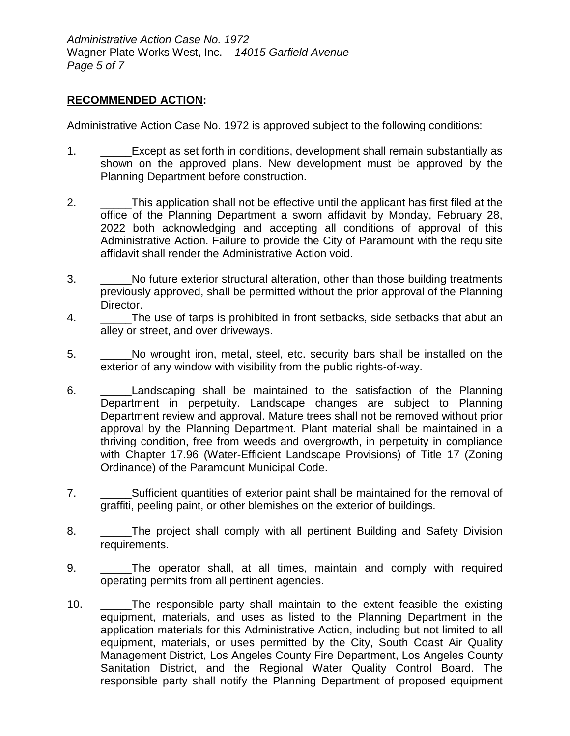### **RECOMMENDED ACTION:**

Administrative Action Case No. 1972 is approved subject to the following conditions:

- 1. Except as set forth in conditions, development shall remain substantially as shown on the approved plans. New development must be approved by the Planning Department before construction.
- 2. \_\_\_\_\_This application shall not be effective until the applicant has first filed at the office of the Planning Department a sworn affidavit by Monday, February 28, 2022 both acknowledging and accepting all conditions of approval of this Administrative Action. Failure to provide the City of Paramount with the requisite affidavit shall render the Administrative Action void.
- 3. \_\_\_\_\_No future exterior structural alteration, other than those building treatments previously approved, shall be permitted without the prior approval of the Planning Director.
- 4. The use of tarps is prohibited in front setbacks, side setbacks that abut an alley or street, and over driveways.
- 5. \_\_\_\_\_No wrought iron, metal, steel, etc. security bars shall be installed on the exterior of any window with visibility from the public rights-of-way.
- 6. \_\_\_\_\_Landscaping shall be maintained to the satisfaction of the Planning Department in perpetuity. Landscape changes are subject to Planning Department review and approval. Mature trees shall not be removed without prior approval by the Planning Department. Plant material shall be maintained in a thriving condition, free from weeds and overgrowth, in perpetuity in compliance with Chapter 17.96 (Water-Efficient Landscape Provisions) of Title 17 (Zoning Ordinance) of the Paramount Municipal Code.
- 7. \_\_\_\_\_Sufficient quantities of exterior paint shall be maintained for the removal of graffiti, peeling paint, or other blemishes on the exterior of buildings.
- 8. \_\_\_\_\_\_The project shall comply with all pertinent Building and Safety Division requirements.
- 9. \_\_\_\_\_The operator shall, at all times, maintain and comply with required operating permits from all pertinent agencies.
- 10. The responsible party shall maintain to the extent feasible the existing equipment, materials, and uses as listed to the Planning Department in the application materials for this Administrative Action, including but not limited to all equipment, materials, or uses permitted by the City, South Coast Air Quality Management District, Los Angeles County Fire Department, Los Angeles County Sanitation District, and the Regional Water Quality Control Board. The responsible party shall notify the Planning Department of proposed equipment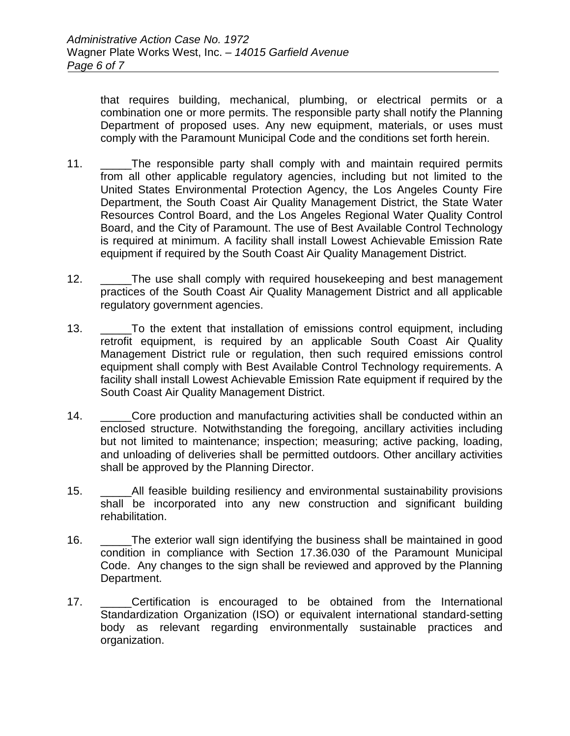that requires building, mechanical, plumbing, or electrical permits or a combination one or more permits. The responsible party shall notify the Planning Department of proposed uses. Any new equipment, materials, or uses must comply with the Paramount Municipal Code and the conditions set forth herein.

- 11. \_\_\_\_\_The responsible party shall comply with and maintain required permits from all other applicable regulatory agencies, including but not limited to the United States Environmental Protection Agency, the Los Angeles County Fire Department, the South Coast Air Quality Management District, the State Water Resources Control Board, and the Los Angeles Regional Water Quality Control Board, and the City of Paramount. The use of Best Available Control Technology is required at minimum. A facility shall install Lowest Achievable Emission Rate equipment if required by the South Coast Air Quality Management District.
- 12. The use shall comply with required housekeeping and best management practices of the South Coast Air Quality Management District and all applicable regulatory government agencies.
- 13. \_\_\_\_\_To the extent that installation of emissions control equipment, including retrofit equipment, is required by an applicable South Coast Air Quality Management District rule or regulation, then such required emissions control equipment shall comply with Best Available Control Technology requirements. A facility shall install Lowest Achievable Emission Rate equipment if required by the South Coast Air Quality Management District.
- 14. Core production and manufacturing activities shall be conducted within an enclosed structure. Notwithstanding the foregoing, ancillary activities including but not limited to maintenance; inspection; measuring; active packing, loading, and unloading of deliveries shall be permitted outdoors. Other ancillary activities shall be approved by the Planning Director.
- 15. All feasible building resiliency and environmental sustainability provisions shall be incorporated into any new construction and significant building rehabilitation.
- 16. \_\_\_\_\_The exterior wall sign identifying the business shall be maintained in good condition in compliance with Section 17.36.030 of the Paramount Municipal Code. Any changes to the sign shall be reviewed and approved by the Planning Department.
- 17. \_\_\_\_\_Certification is encouraged to be obtained from the International Standardization Organization (ISO) or equivalent international standard-setting body as relevant regarding environmentally sustainable practices and organization.